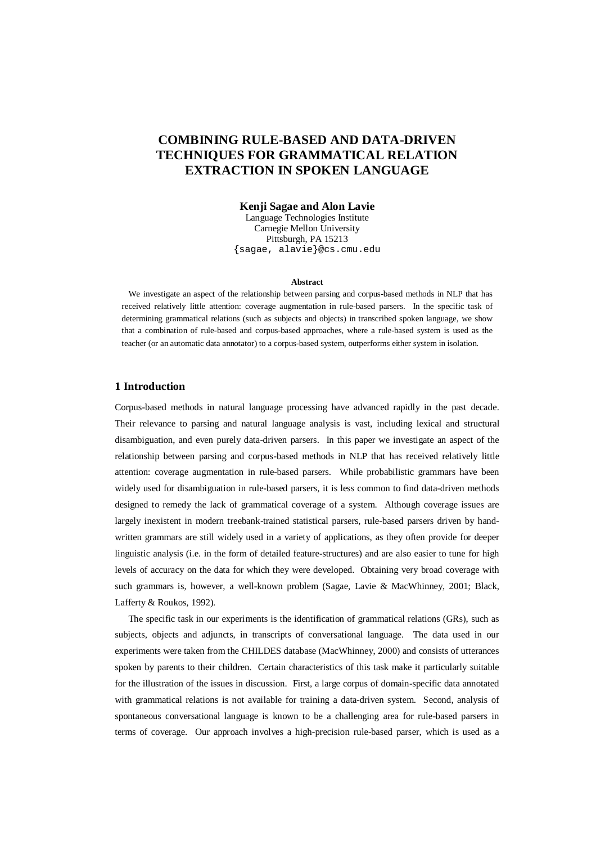# **COMBINING RULE-BASED AND DATA-DRIVEN TECHNIQUES FOR GRAMMATICAL RELATION EXTRACTION IN SPOKEN LANGUAGE**

## **Kenji Sagae and Alon Lavie**

Language Technologies Institute Carnegie Mellon University Pittsburgh, PA 15213 {sagae, alavie}@cs.cmu.edu

#### **Abstract**

 We investigate an aspect of the relationship between parsing and corpus-based methods in NLP that has received relatively little attention: coverage augmentation in rule-based parsers. In the specific task of determining grammatical relations (such as subjects and objects) in transcribed spoken language, we show that a combination of rule-based and corpus-based approaches, where a rule-based system is used as the teacher (or an automatic data annotator) to a corpus-based system, outperforms either system in isolation.

# **1 Introduction**

Corpus-based methods in natural language processing have advanced rapidly in the past decade. Their relevance to parsing and natural language analysis is vast, including lexical and structural disambiguation, and even purely data-driven parsers. In this paper we investigate an aspect of the relationship between parsing and corpus-based methods in NLP that has received relatively little attention: coverage augmentation in rule-based parsers. While probabilistic grammars have been widely used for disambiguation in rule-based parsers, it is less common to find data-driven methods designed to remedy the lack of grammatical coverage of a system. Although coverage issues are largely inexistent in modern treebank-trained statistical parsers, rule-based parsers driven by handwritten grammars are still widely used in a variety of applications, as they often provide for deeper linguistic analysis (i.e. in the form of detailed feature-structures) and are also easier to tune for high levels of accuracy on the data for which they were developed. Obtaining very broad coverage with such grammars is, however, a well-known problem (Sagae, Lavie & MacWhinney, 2001; Black, Lafferty & Roukos, 1992).

 The specific task in our experiments is the identification of grammatical relations (GRs), such as subjects, objects and adjuncts, in transcripts of conversational language. The data used in our experiments were taken from the CHILDES database (MacWhinney, 2000) and consists of utterances spoken by parents to their children. Certain characteristics of this task make it particularly suitable for the illustration of the issues in discussion. First, a large corpus of domain-specific data annotated with grammatical relations is not available for training a data-driven system. Second, analysis of spontaneous conversational language is known to be a challenging area for rule-based parsers in terms of coverage. Our approach involves a high-precision rule-based parser, which is used as a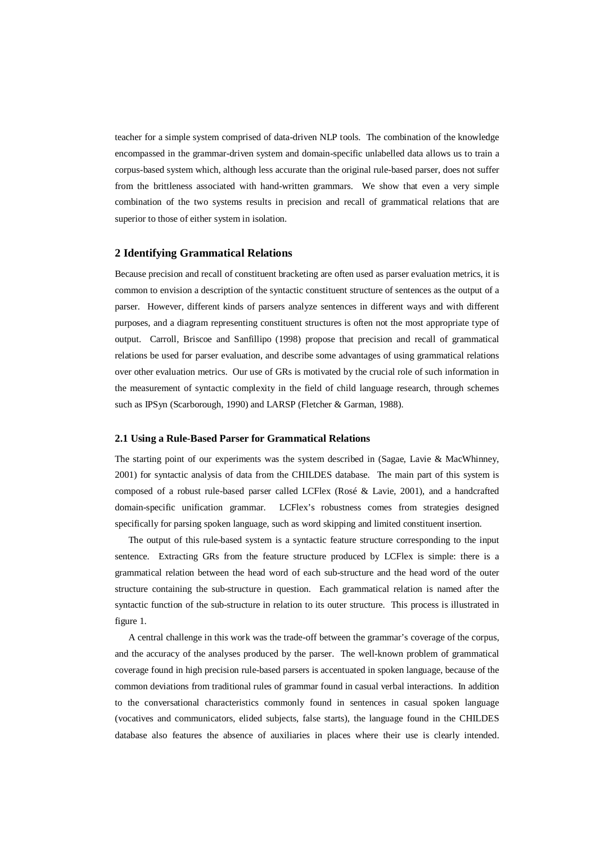teacher for a simple system comprised of data-driven NLP tools. The combination of the knowledge encompassed in the grammar-driven system and domain-specific unlabelled data allows us to train a corpus-based system which, although less accurate than the original rule-based parser, does not suffer from the brittleness associated with hand-written grammars. We show that even a very simple combination of the two systems results in precision and recall of grammatical relations that are superior to those of either system in isolation.

### **2 Identifying Grammatical Relations**

Because precision and recall of constituent bracketing are often used as parser evaluation metrics, it is common to envision a description of the syntactic constituent structure of sentences as the output of a parser. However, different kinds of parsers analyze sentences in different ways and with different purposes, and a diagram representing constituent structures is often not the most appropriate type of output. Carroll, Briscoe and Sanfillipo (1998) propose that precision and recall of grammatical relations be used for parser evaluation, and describe some advantages of using grammatical relations over other evaluation metrics. Our use of GRs is motivated by the crucial role of such information in the measurement of syntactic complexity in the field of child language research, through schemes such as IPSyn (Scarborough, 1990) and LARSP (Fletcher & Garman, 1988).

#### **2.1 Using a Rule-Based Parser for Grammatical Relations**

The starting point of our experiments was the system described in (Sagae, Lavie & MacWhinney, 2001) for syntactic analysis of data from the CHILDES database. The main part of this system is composed of a robust rule-based parser called LCFlex (Rosé & Lavie, 2001), and a handcrafted domain-specific unification grammar. LCFlex's robustness comes from strategies designed specifically for parsing spoken language, such as word skipping and limited constituent insertion.

 The output of this rule-based system is a syntactic feature structure corresponding to the input sentence. Extracting GRs from the feature structure produced by LCFlex is simple: there is a grammatical relation between the head word of each sub-structure and the head word of the outer structure containing the sub-structure in question. Each grammatical relation is named after the syntactic function of the sub-structure in relation to its outer structure. This process is illustrated in figure 1.

 A central challenge in this work was the trade-off between the grammar's coverage of the corpus, and the accuracy of the analyses produced by the parser. The well-known problem of grammatical coverage found in high precision rule-based parsers is accentuated in spoken language, because of the common deviations from traditional rules of grammar found in casual verbal interactions. In addition to the conversational characteristics commonly found in sentences in casual spoken language (vocatives and communicators, elided subjects, false starts), the language found in the CHILDES database also features the absence of auxiliaries in places where their use is clearly intended.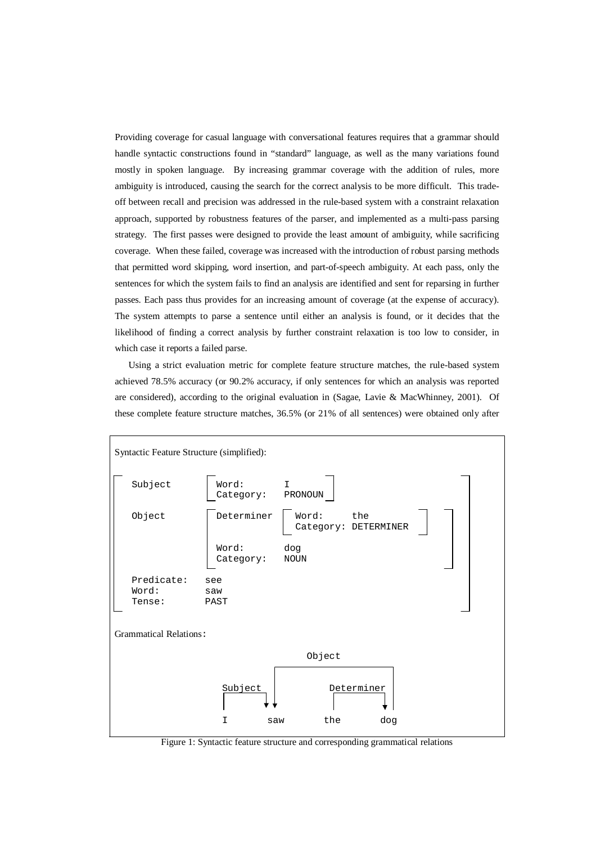Providing coverage for casual language with conversational features requires that a grammar should handle syntactic constructions found in "standard" language, as well as the many variations found mostly in spoken language. By increasing grammar coverage with the addition of rules, more ambiguity is introduced, causing the search for the correct analysis to be more difficult. This tradeoff between recall and precision was addressed in the rule-based system with a constraint relaxation approach, supported by robustness features of the parser, and implemented as a multi-pass parsing strategy. The first passes were designed to provide the least amount of ambiguity, while sacrificing coverage. When these failed, coverage was increased with the introduction of robust parsing methods that permitted word skipping, word insertion, and part-of-speech ambiguity. At each pass, only the sentences for which the system fails to find an analysis are identified and sent for reparsing in further passes. Each pass thus provides for an increasing amount of coverage (at the expense of accuracy). The system attempts to parse a sentence until either an analysis is found, or it decides that the likelihood of finding a correct analysis by further constraint relaxation is too low to consider, in which case it reports a failed parse.

 Using a strict evaluation metric for complete feature structure matches, the rule-based system achieved 78.5% accuracy (or 90.2% accuracy, if only sentences for which an analysis was reported are considered), according to the original evaluation in (Sagae, Lavie & MacWhinney, 2001). Of these complete feature structure matches, 36.5% (or 21% of all sentences) were obtained only after



Figure 1: Syntactic feature structure and corresponding grammatical relations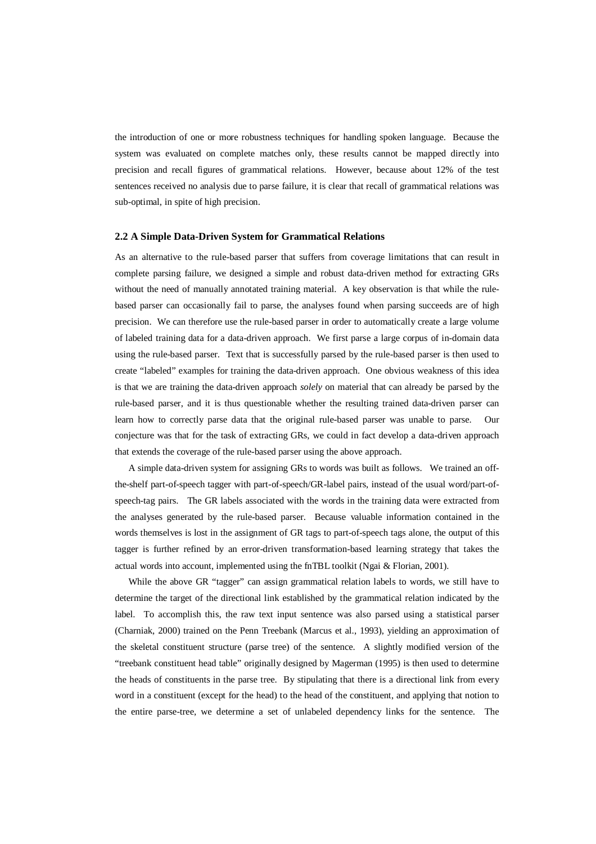the introduction of one or more robustness techniques for handling spoken language. Because the system was evaluated on complete matches only, these results cannot be mapped directly into precision and recall figures of grammatical relations. However, because about 12% of the test sentences received no analysis due to parse failure, it is clear that recall of grammatical relations was sub-optimal, in spite of high precision.

#### **2.2 A Simple Data-Driven System for Grammatical Relations**

As an alternative to the rule-based parser that suffers from coverage limitations that can result in complete parsing failure, we designed a simple and robust data-driven method for extracting GRs without the need of manually annotated training material. A key observation is that while the rulebased parser can occasionally fail to parse, the analyses found when parsing succeeds are of high precision. We can therefore use the rule-based parser in order to automatically create a large volume of labeled training data for a data-driven approach. We first parse a large corpus of in-domain data using the rule-based parser. Text that is successfully parsed by the rule-based parser is then used to create "labeled" examples for training the data-driven approach. One obvious weakness of this idea is that we are training the data-driven approach *solely* on material that can already be parsed by the rule-based parser, and it is thus questionable whether the resulting trained data-driven parser can learn how to correctly parse data that the original rule-based parser was unable to parse. Our conjecture was that for the task of extracting GRs, we could in fact develop a data-driven approach that extends the coverage of the rule-based parser using the above approach.

 A simple data-driven system for assigning GRs to words was built as follows. We trained an offthe-shelf part-of-speech tagger with part-of-speech/GR-label pairs, instead of the usual word/part-ofspeech-tag pairs. The GR labels associated with the words in the training data were extracted from the analyses generated by the rule-based parser. Because valuable information contained in the words themselves is lost in the assignment of GR tags to part-of-speech tags alone, the output of this tagger is further refined by an error-driven transformation-based learning strategy that takes the actual words into account, implemented using the fnTBL toolkit (Ngai & Florian, 2001).

While the above GR "tagger" can assign grammatical relation labels to words, we still have to determine the target of the directional link established by the grammatical relation indicated by the label. To accomplish this, the raw text input sentence was also parsed using a statistical parser (Charniak, 2000) trained on the Penn Treebank (Marcus et al., 1993), yielding an approximation of the skeletal constituent structure (parse tree) of the sentence. A slightly modified version of the "treebank constituent head table" originally designed by Magerman (1995) is then used to determine the heads of constituents in the parse tree. By stipulating that there is a directional link from every word in a constituent (except for the head) to the head of the constituent, and applying that notion to the entire parse-tree, we determine a set of unlabeled dependency links for the sentence. The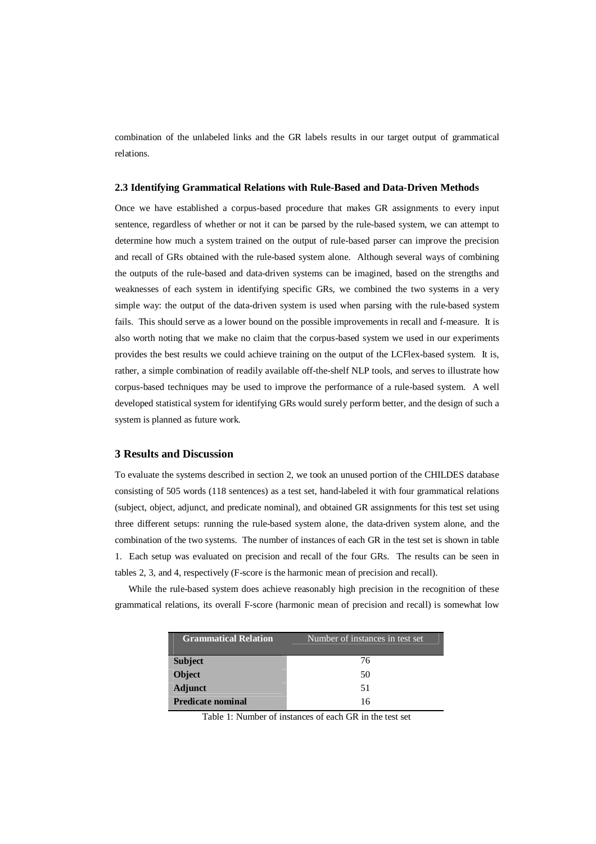combination of the unlabeled links and the GR labels results in our target output of grammatical relations.

#### **2.3 Identifying Grammatical Relations with Rule-Based and Data-Driven Methods**

Once we have established a corpus-based procedure that makes GR assignments to every input sentence, regardless of whether or not it can be parsed by the rule-based system, we can attempt to determine how much a system trained on the output of rule-based parser can improve the precision and recall of GRs obtained with the rule-based system alone. Although several ways of combining the outputs of the rule-based and data-driven systems can be imagined, based on the strengths and weaknesses of each system in identifying specific GRs, we combined the two systems in a very simple way: the output of the data-driven system is used when parsing with the rule-based system fails. This should serve as a lower bound on the possible improvements in recall and f-measure. It is also worth noting that we make no claim that the corpus-based system we used in our experiments provides the best results we could achieve training on the output of the LCFlex-based system. It is, rather, a simple combination of readily available off-the-shelf NLP tools, and serves to illustrate how corpus-based techniques may be used to improve the performance of a rule-based system. A well developed statistical system for identifying GRs would surely perform better, and the design of such a system is planned as future work.

# **3 Results and Discussion**

To evaluate the systems described in section 2, we took an unused portion of the CHILDES database consisting of 505 words (118 sentences) as a test set, hand-labeled it with four grammatical relations (subject, object, adjunct, and predicate nominal), and obtained GR assignments for this test set using three different setups: running the rule-based system alone, the data-driven system alone, and the combination of the two systems. The number of instances of each GR in the test set is shown in table 1. Each setup was evaluated on precision and recall of the four GRs. The results can be seen in tables 2, 3, and 4, respectively (F-score is the harmonic mean of precision and recall).

While the rule-based system does achieve reasonably high precision in the recognition of these grammatical relations, its overall F-score (harmonic mean of precision and recall) is somewhat low

| <b>Grammatical Relation</b> | Number of instances in test set |  |  |
|-----------------------------|---------------------------------|--|--|
| <b>Subject</b>              | 76                              |  |  |
| <b>Object</b>               | 50                              |  |  |
| <b>Adjunct</b>              | 51                              |  |  |
| <b>Predicate nominal</b>    | 16                              |  |  |

Table 1: Number of instances of each GR in the test set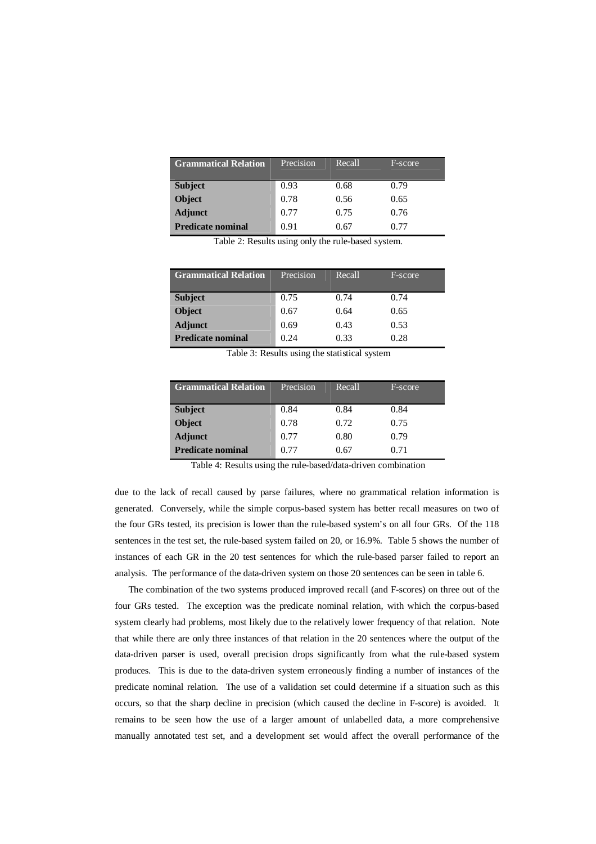| <b>Grammatical Relation</b> | Precision | Recall | F-score |
|-----------------------------|-----------|--------|---------|
| <b>Subject</b>              | 0.93      | 0.68   | 0.79    |
| <b>Object</b>               | 0.78      | 0.56   | 0.65    |
| <b>Adjunct</b>              | 0.77      | 0.75   | 0.76    |
| <b>Predicate nominal</b>    | 0.91      | 0.67   | በ 77    |

Table 2: Results using only the rule-based system.

| <b>Grammatical Relation</b> | Precision | Recall | F-score |
|-----------------------------|-----------|--------|---------|
| <b>Subject</b>              | 0.75      | 0.74   | 0.74    |
| <b>Object</b>               | 0.67      | 0.64   | 0.65    |
| <b>Adjunct</b>              | 0.69      | 0.43   | 0.53    |
| <b>Predicate nominal</b>    | 0.24      | 0.33   | 0.28    |

Table 3: Results using the statistical system

| <b>Grammatical Relation</b> | Precision | Recall | F-score |
|-----------------------------|-----------|--------|---------|
| <b>Subject</b>              | 0.84      | 0.84   | 0.84    |
| <b>Object</b>               | 0.78      | 0.72   | 0.75    |
| <b>Adjunct</b>              | 0.77      | 0.80   | 0.79    |
| <b>Predicate nominal</b>    | 0.77      | 0.67   | 0.71    |

Table 4: Results using the rule-based/data-driven combination

due to the lack of recall caused by parse failures, where no grammatical relation information is generated. Conversely, while the simple corpus-based system has better recall measures on two of the four GRs tested, its precision is lower than the rule-based system's on all four GRs. Of the 118 sentences in the test set, the rule-based system failed on 20, or 16.9%. Table 5 shows the number of instances of each GR in the 20 test sentences for which the rule-based parser failed to report an analysis. The performance of the data-driven system on those 20 sentences can be seen in table 6.

 The combination of the two systems produced improved recall (and F-scores) on three out of the four GRs tested. The exception was the predicate nominal relation, with which the corpus-based system clearly had problems, most likely due to the relatively lower frequency of that relation. Note that while there are only three instances of that relation in the 20 sentences where the output of the data-driven parser is used, overall precision drops significantly from what the rule-based system produces. This is due to the data-driven system erroneously finding a number of instances of the predicate nominal relation. The use of a validation set could determine if a situation such as this occurs, so that the sharp decline in precision (which caused the decline in F-score) is avoided. It remains to be seen how the use of a larger amount of unlabelled data, a more comprehensive manually annotated test set, and a development set would affect the overall performance of the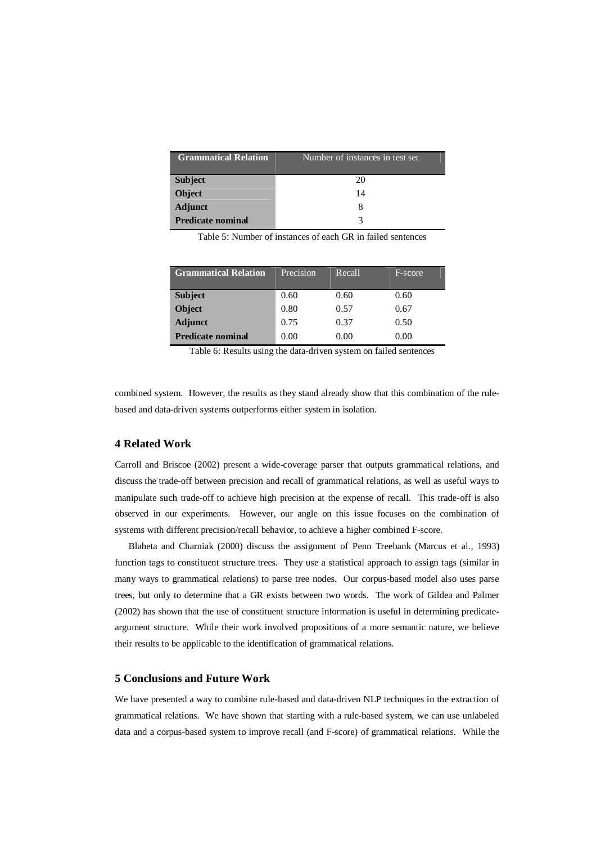| <b>Grammatical Relation</b> | Number of instances in test set |  |  |
|-----------------------------|---------------------------------|--|--|
| <b>Subject</b>              | 20                              |  |  |
| <b>Object</b>               | 14                              |  |  |
| <b>Adjunct</b>              |                                 |  |  |
| <b>Predicate nominal</b>    |                                 |  |  |

Table 5: Number of instances of each GR in failed sentences

| <b>Grammatical Relation</b> | Precision | Recall | F-score. |
|-----------------------------|-----------|--------|----------|
| <b>Subject</b>              | 0.60      | 0.60   | 0.60     |
| <b>Object</b>               | 0.80      | 0.57   | 0.67     |
| <b>Adjunct</b>              | 0.75      | 0.37   | 0.50     |
| <b>Predicate nominal</b>    | 0.00      | 0.00   | 0.00     |

Table 6: Results using the data-driven system on failed sentences

combined system. However, the results as they stand already show that this combination of the rulebased and data-driven systems outperforms either system in isolation.

# **4 Related Work**

Carroll and Briscoe (2002) present a wide-coverage parser that outputs grammatical relations, and discuss the trade-off between precision and recall of grammatical relations, as well as useful ways to manipulate such trade-off to achieve high precision at the expense of recall. This trade-off is also observed in our experiments. However, our angle on this issue focuses on the combination of systems with different precision/recall behavior, to achieve a higher combined F-score.

 Blaheta and Charniak (2000) discuss the assignment of Penn Treebank (Marcus et al., 1993) function tags to constituent structure trees. They use a statistical approach to assign tags (similar in many ways to grammatical relations) to parse tree nodes. Our corpus-based model also uses parse trees, but only to determine that a GR exists between two words. The work of Gildea and Palmer (2002) has shown that the use of constituent structure information is useful in determining predicateargument structure. While their work involved propositions of a more semantic nature, we believe their results to be applicable to the identification of grammatical relations.

# **5 Conclusions and Future Work**

We have presented a way to combine rule-based and data-driven NLP techniques in the extraction of grammatical relations. We have shown that starting with a rule-based system, we can use unlabeled data and a corpus-based system to improve recall (and F-score) of grammatical relations. While the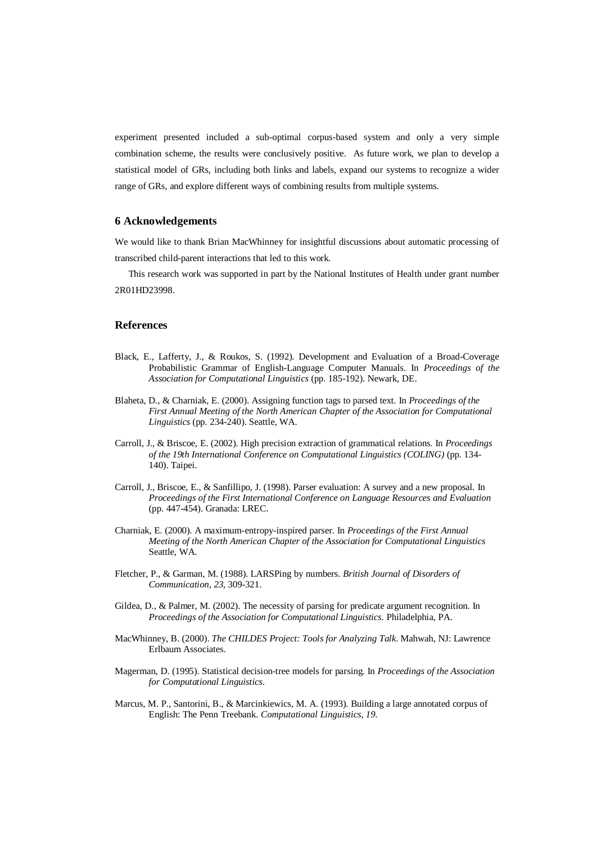experiment presented included a sub-optimal corpus-based system and only a very simple combination scheme, the results were conclusively positive. As future work, we plan to develop a statistical model of GRs, including both links and labels, expand our systems to recognize a wider range of GRs, and explore different ways of combining results from multiple systems.

## **6 Acknowledgements**

We would like to thank Brian MacWhinney for insightful discussions about automatic processing of transcribed child-parent interactions that led to this work.

 This research work was supported in part by the National Institutes of Health under grant number 2R01HD23998.

## **References**

- Black, E., Lafferty, J., & Roukos, S. (1992). Development and Evaluation of a Broad-Coverage Probabilistic Grammar of English-Language Computer Manuals. In *Proceedings of the Association for Computational Linguistics* (pp. 185-192). Newark, DE.
- Blaheta, D., & Charniak, E. (2000). Assigning function tags to parsed text. In *Proceedings of the First Annual Meeting of the North American Chapter of the Association for Computational Linguistics* (pp. 234-240). Seattle, WA.
- Carroll, J., & Briscoe, E. (2002). High precision extraction of grammatical relations. In *Proceedings of the 19th International Conference on Computational Linguistics (COLING)* (pp. 134- 140). Taipei.
- Carroll, J., Briscoe, E., & Sanfillipo, J. (1998). Parser evaluation: A survey and a new proposal. In *Proceedings of the First International Conference on Language Resources and Evaluation* (pp. 447-454). Granada: LREC.
- Charniak, E. (2000). A maximum-entropy-inspired parser. In *Proceedings of the First Annual Meeting of the North American Chapter of the Association for Computational Linguistics*  Seattle, WA.
- Fletcher, P., & Garman, M. (1988). LARSPing by numbers. *British Journal of Disorders of Communication, 23*, 309-321.
- Gildea, D., & Palmer, M. (2002). The necessity of parsing for predicate argument recognition. In *Proceedings of the Association for Computational Linguistics*. Philadelphia, PA.
- MacWhinney, B. (2000). *The CHILDES Project: Tools for Analyzing Talk*. Mahwah, NJ: Lawrence Erlbaum Associates.
- Magerman, D. (1995). Statistical decision-tree models for parsing. In *Proceedings of the Association for Computational Linguistics*.
- Marcus, M. P., Santorini, B., & Marcinkiewics, M. A. (1993). Building a large annotated corpus of English: The Penn Treebank. *Computational Linguistics, 19*.